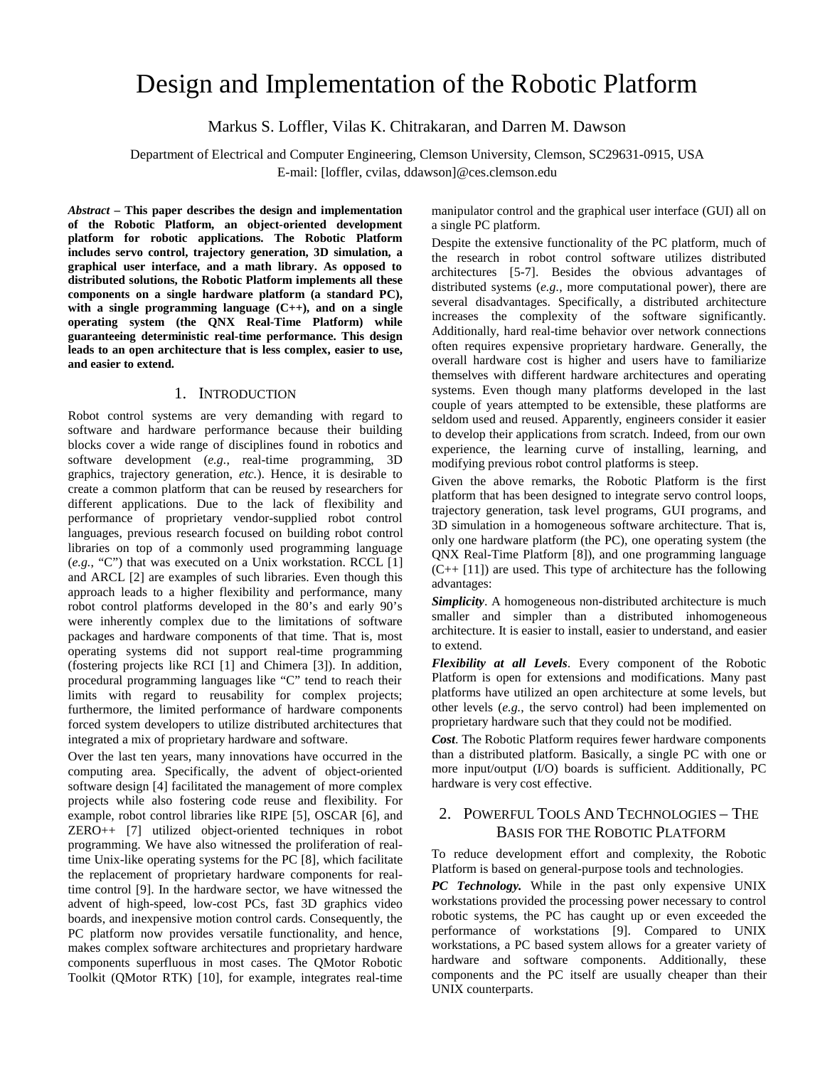# Design and Implementation of the Robotic Platform

Markus S. Loffler, Vilas K. Chitrakaran, and Darren M. Dawson

Department of Electrical and Computer Engineering, Clemson University, Clemson, SC29631-0915, USA E-mail: [loffler, cvilas, ddawson]@ces.clemson.edu

*Abstract* **– This paper describes the design and implementation of the Robotic Platform, an object-oriented development platform for robotic applications. The Robotic Platform includes servo control, trajectory generation, 3D simulation, a graphical user interface, and a math library. As opposed to distributed solutions, the Robotic Platform implements all these components on a single hardware platform (a standard PC), with a single programming language (C++), and on a single operating system (the QNX Real-Time Platform) while guaranteeing deterministic real-time performance. This design leads to an open architecture that is less complex, easier to use, and easier to extend.** 

#### 1. INTRODUCTION

Robot control systems are very demanding with regard to software and hardware performance because their building blocks cover a wide range of disciplines found in robotics and software development (*e.g.*, real-time programming, 3D graphics, trajectory generation, *etc.*). Hence, it is desirable to create a common platform that can be reused by researchers for different applications. Due to the lack of flexibility and performance of proprietary vendor-supplied robot control languages, previous research focused on building robot control libraries on top of a commonly used programming language (*e.g.*, "C") that was executed on a Unix workstation. RCCL [1] and ARCL [2] are examples of such libraries. Even though this approach leads to a higher flexibility and performance, many robot control platforms developed in the 80's and early 90's were inherently complex due to the limitations of software packages and hardware components of that time. That is, most operating systems did not support real-time programming (fostering projects like RCI [1] and Chimera [3]). In addition, procedural programming languages like "C" tend to reach their limits with regard to reusability for complex projects; furthermore, the limited performance of hardware components forced system developers to utilize distributed architectures that integrated a mix of proprietary hardware and software.

Over the last ten years, many innovations have occurred in the computing area. Specifically, the advent of object-oriented software design [4] facilitated the management of more complex projects while also fostering code reuse and flexibility. For example, robot control libraries like RIPE [5], OSCAR [6], and ZERO++ [7] utilized object-oriented techniques in robot programming. We have also witnessed the proliferation of realtime Unix-like operating systems for the PC [8], which facilitate the replacement of proprietary hardware components for realtime control [9]. In the hardware sector, we have witnessed the advent of high-speed, low-cost PCs, fast 3D graphics video boards, and inexpensive motion control cards. Consequently, the PC platform now provides versatile functionality, and hence, makes complex software architectures and proprietary hardware components superfluous in most cases. The QMotor Robotic Toolkit (QMotor RTK) [10], for example, integrates real-time

manipulator control and the graphical user interface (GUI) all on a single PC platform.

Despite the extensive functionality of the PC platform, much of the research in robot control software utilizes distributed architectures [5-7]. Besides the obvious advantages of distributed systems (*e.g.*, more computational power), there are several disadvantages. Specifically, a distributed architecture increases the complexity of the software significantly. Additionally, hard real-time behavior over network connections often requires expensive proprietary hardware. Generally, the overall hardware cost is higher and users have to familiarize themselves with different hardware architectures and operating systems. Even though many platforms developed in the last couple of years attempted to be extensible, these platforms are seldom used and reused. Apparently, engineers consider it easier to develop their applications from scratch. Indeed, from our own experience, the learning curve of installing, learning, and modifying previous robot control platforms is steep.

Given the above remarks, the Robotic Platform is the first platform that has been designed to integrate servo control loops, trajectory generation, task level programs, GUI programs, and 3D simulation in a homogeneous software architecture. That is, only one hardware platform (the PC), one operating system (the QNX Real-Time Platform [8]), and one programming language  $(C++ [11])$  are used. This type of architecture has the following advantages:

*Simplicity*. A homogeneous non-distributed architecture is much smaller and simpler than a distributed inhomogeneous architecture. It is easier to install, easier to understand, and easier to extend.

*Flexibility at all Levels*. Every component of the Robotic Platform is open for extensions and modifications. Many past platforms have utilized an open architecture at some levels, but other levels (*e.g.*, the servo control) had been implemented on proprietary hardware such that they could not be modified.

*Cost*. The Robotic Platform requires fewer hardware components than a distributed platform. Basically, a single PC with one or more input/output (I/O) boards is sufficient. Additionally, PC hardware is very cost effective.

# 2. POWERFUL TOOLS AND TECHNOLOGIES – THE BASIS FOR THE ROBOTIC PLATFORM

To reduce development effort and complexity, the Robotic Platform is based on general-purpose tools and technologies.

*PC Technology.* While in the past only expensive UNIX workstations provided the processing power necessary to control robotic systems, the PC has caught up or even exceeded the performance of workstations [9]. Compared to UNIX workstations, a PC based system allows for a greater variety of hardware and software components. Additionally, these components and the PC itself are usually cheaper than their UNIX counterparts.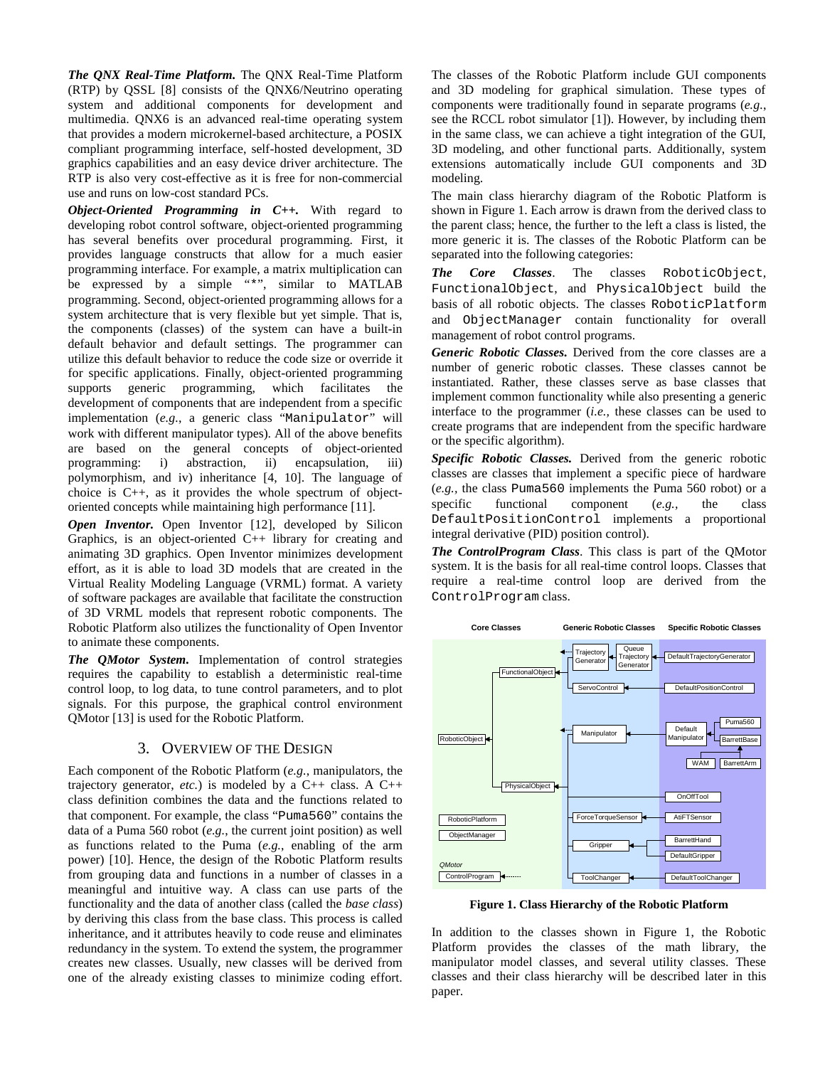*The QNX Real-Time Platform.* The QNX Real-Time Platform (RTP) by QSSL [8] consists of the QNX6/Neutrino operating system and additional components for development and multimedia. QNX6 is an advanced real-time operating system that provides a modern microkernel-based architecture, a POSIX compliant programming interface, self-hosted development, 3D graphics capabilities and an easy device driver architecture. The RTP is also very cost-effective as it is free for non-commercial use and runs on low-cost standard PCs.

*Object-Oriented Programming in C++.* With regard to developing robot control software, object-oriented programming has several benefits over procedural programming. First, it provides language constructs that allow for a much easier programming interface. For example, a matrix multiplication can be expressed by a simple "\*", similar to MATLAB programming. Second, object-oriented programming allows for a system architecture that is very flexible but yet simple. That is, the components (classes) of the system can have a built-in default behavior and default settings. The programmer can utilize this default behavior to reduce the code size or override it for specific applications. Finally, object-oriented programming supports generic programming, which facilitates the development of components that are independent from a specific implementation (*e.g.*, a generic class "Manipulator" will work with different manipulator types). All of the above benefits are based on the general concepts of object-oriented programming: i) abstraction, ii) encapsulation, iii) polymorphism, and iv) inheritance [4, 10]. The language of choice is C++, as it provides the whole spectrum of objectoriented concepts while maintaining high performance [11].

*Open Inventor.* Open Inventor [12], developed by Silicon Graphics, is an object-oriented C++ library for creating and animating 3D graphics. Open Inventor minimizes development effort, as it is able to load 3D models that are created in the Virtual Reality Modeling Language (VRML) format. A variety of software packages are available that facilitate the construction of 3D VRML models that represent robotic components. The Robotic Platform also utilizes the functionality of Open Inventor to animate these components.

*The QMotor System.* Implementation of control strategies requires the capability to establish a deterministic real-time control loop, to log data, to tune control parameters, and to plot signals. For this purpose, the graphical control environment QMotor [13] is used for the Robotic Platform.

# 3. OVERVIEW OF THE DESIGN

Each component of the Robotic Platform (*e.g.*, manipulators, the trajectory generator, *etc.*) is modeled by a  $C++$  class. A  $C++$ class definition combines the data and the functions related to that component. For example, the class "Puma560" contains the data of a Puma 560 robot (*e.g.*, the current joint position) as well as functions related to the Puma (*e.g.*, enabling of the arm power) [10]. Hence, the design of the Robotic Platform results from grouping data and functions in a number of classes in a meaningful and intuitive way. A class can use parts of the functionality and the data of another class (called the *base class*) by deriving this class from the base class. This process is called inheritance, and it attributes heavily to code reuse and eliminates redundancy in the system. To extend the system, the programmer creates new classes. Usually, new classes will be derived from one of the already existing classes to minimize coding effort.

The classes of the Robotic Platform include GUI components and 3D modeling for graphical simulation. These types of components were traditionally found in separate programs (*e.g.*, see the RCCL robot simulator [1]). However, by including them in the same class, we can achieve a tight integration of the GUI, 3D modeling, and other functional parts. Additionally, system extensions automatically include GUI components and 3D modeling.

The main class hierarchy diagram of the Robotic Platform is shown in Figure 1. Each arrow is drawn from the derived class to the parent class; hence, the further to the left a class is listed, the more generic it is. The classes of the Robotic Platform can be separated into the following categories:

*The Core Classes*. The classes RoboticObject, FunctionalObject, and PhysicalObject build the basis of all robotic objects. The classes RoboticPlatform and ObjectManager contain functionality for overall management of robot control programs.

*Generic Robotic Classes.* Derived from the core classes are a number of generic robotic classes. These classes cannot be instantiated. Rather, these classes serve as base classes that implement common functionality while also presenting a generic interface to the programmer (*i.e.,* these classes can be used to create programs that are independent from the specific hardware or the specific algorithm).

*Specific Robotic Classes.* Derived from the generic robotic classes are classes that implement a specific piece of hardware (*e.g.,* the class Puma560 implements the Puma 560 robot) or a specific functional component (*e.g.,* the class DefaultPositionControl implements a proportional integral derivative (PID) position control).

*The ControlProgram Class*. This class is part of the QMotor system. It is the basis for all real-time control loops. Classes that require a real-time control loop are derived from the ControlProgram class.



**Figure 1. Class Hierarchy of the Robotic Platform** 

In addition to the classes shown in Figure 1, the Robotic Platform provides the classes of the math library, the manipulator model classes, and several utility classes. These classes and their class hierarchy will be described later in this paper.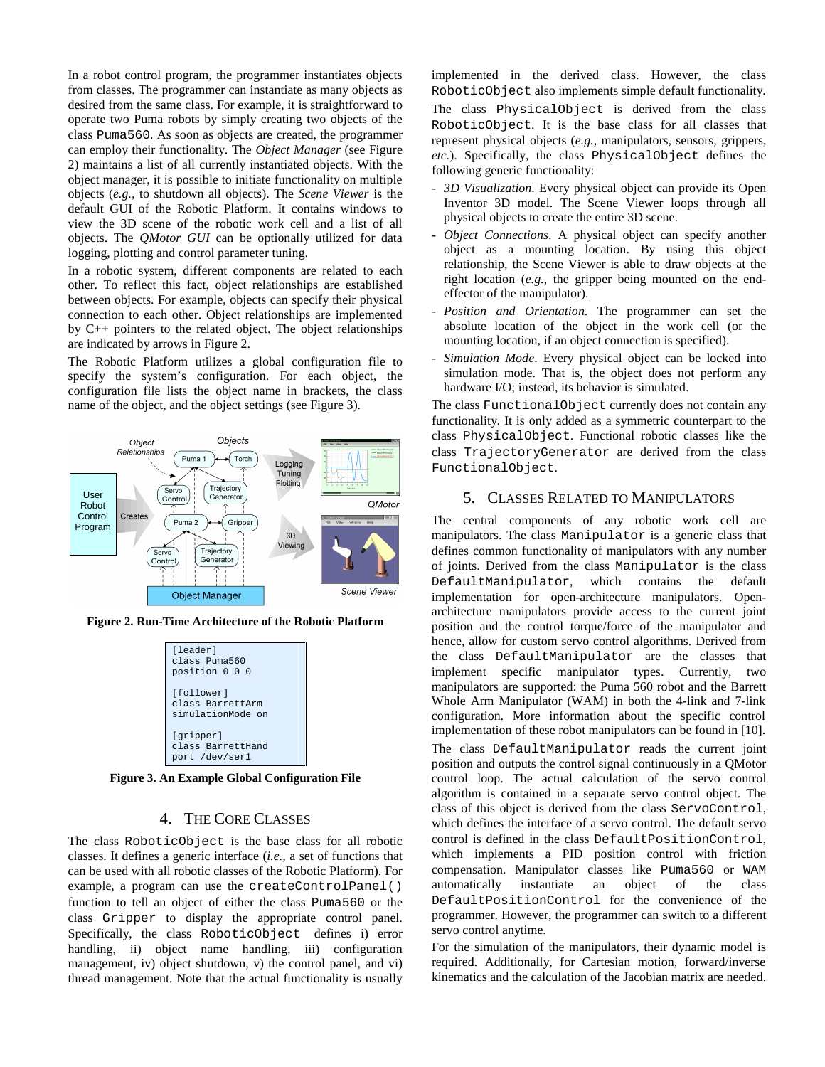In a robot control program, the programmer instantiates objects from classes. The programmer can instantiate as many objects as desired from the same class. For example, it is straightforward to operate two Puma robots by simply creating two objects of the class Puma560. As soon as objects are created, the programmer can employ their functionality. The *Object Manager* (see Figure 2) maintains a list of all currently instantiated objects. With the object manager, it is possible to initiate functionality on multiple objects (*e.g.,* to shutdown all objects). The *Scene Viewer* is the default GUI of the Robotic Platform. It contains windows to view the 3D scene of the robotic work cell and a list of all objects. The *QMotor GUI* can be optionally utilized for data logging, plotting and control parameter tuning.

In a robotic system, different components are related to each other. To reflect this fact, object relationships are established between objects. For example, objects can specify their physical connection to each other. Object relationships are implemented by C++ pointers to the related object. The object relationships are indicated by arrows in Figure 2.

The Robotic Platform utilizes a global configuration file to specify the system's configuration. For each object, the configuration file lists the object name in brackets, the class name of the object, and the object settings (see Figure 3).



**Figure 2. Run-Time Architecture of the Robotic Platform** 

| [leader]<br>class Puma560<br>position 0 0 0         |
|-----------------------------------------------------|
| [follower]<br>class BarrettArm<br>simulationMode on |
| [gripper]<br>class BarrettHand<br>port /dev/ser1    |

**Figure 3. An Example Global Configuration File** 

# 4. THE CORE CLASSES

The class RoboticObject is the base class for all robotic classes. It defines a generic interface (*i.e.,* a set of functions that can be used with all robotic classes of the Robotic Platform). For example, a program can use the createControlPanel() function to tell an object of either the class Puma560 or the class Gripper to display the appropriate control panel. Specifically, the class RoboticObject defines i) error handling, ii) object name handling, iii) configuration management, iv) object shutdown, v) the control panel, and vi) thread management. Note that the actual functionality is usually

implemented in the derived class. However, the class RoboticObject also implements simple default functionality. The class PhysicalObject is derived from the class RoboticObject. It is the base class for all classes that represent physical objects (*e.g.,* manipulators, sensors, grippers, *etc.*). Specifically, the class PhysicalObject defines the following generic functionality:

- *3D Visualization*. Every physical object can provide its Open Inventor 3D model. The Scene Viewer loops through all physical objects to create the entire 3D scene.
- *Object Connections*. A physical object can specify another object as a mounting location. By using this object relationship, the Scene Viewer is able to draw objects at the right location (*e.g.,* the gripper being mounted on the endeffector of the manipulator).
- *Position and Orientation*. The programmer can set the absolute location of the object in the work cell (or the mounting location, if an object connection is specified).
- Simulation Mode. Every physical object can be locked into simulation mode. That is, the object does not perform any hardware I/O; instead, its behavior is simulated.

The class FunctionalObject currently does not contain any functionality. It is only added as a symmetric counterpart to the class PhysicalObject. Functional robotic classes like the class TrajectoryGenerator are derived from the class FunctionalObject.

## 5. CLASSES RELATED TO MANIPULATORS

The central components of any robotic work cell are manipulators. The class Manipulator is a generic class that defines common functionality of manipulators with any number of joints. Derived from the class Manipulator is the class DefaultManipulator, which contains the default implementation for open-architecture manipulators. Openarchitecture manipulators provide access to the current joint position and the control torque/force of the manipulator and hence, allow for custom servo control algorithms. Derived from the class DefaultManipulator are the classes that implement specific manipulator types. Currently, two manipulators are supported: the Puma 560 robot and the Barrett Whole Arm Manipulator (WAM) in both the 4-link and 7-link configuration. More information about the specific control implementation of these robot manipulators can be found in [10].

The class DefaultManipulator reads the current joint position and outputs the control signal continuously in a QMotor control loop. The actual calculation of the servo control algorithm is contained in a separate servo control object. The class of this object is derived from the class ServoControl, which defines the interface of a servo control. The default servo control is defined in the class DefaultPositionControl, which implements a PID position control with friction compensation. Manipulator classes like Puma560 or WAM automatically instantiate an object of the class DefaultPositionControl for the convenience of the programmer. However, the programmer can switch to a different servo control anytime.

For the simulation of the manipulators, their dynamic model is required. Additionally, for Cartesian motion, forward/inverse kinematics and the calculation of the Jacobian matrix are needed.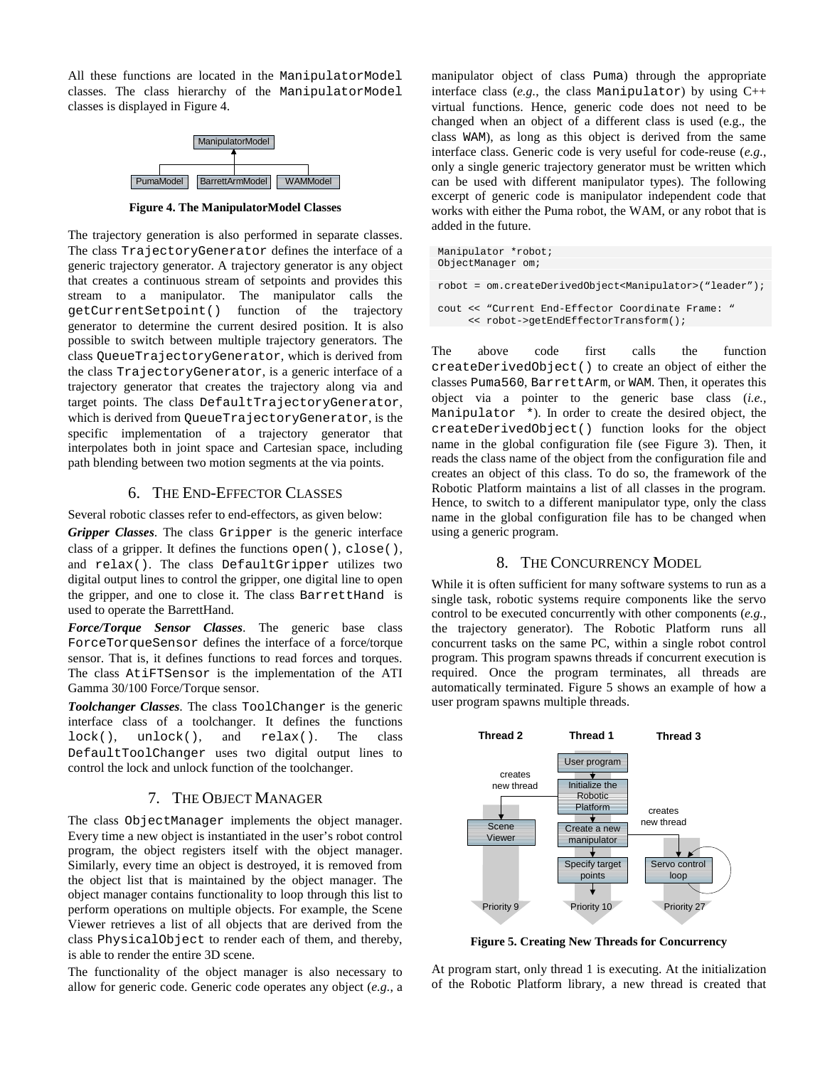All these functions are located in the ManipulatorModel classes. The class hierarchy of the ManipulatorModel classes is displayed in Figure 4.



**Figure 4. The ManipulatorModel Classes** 

The trajectory generation is also performed in separate classes. The class TrajectoryGenerator defines the interface of a generic trajectory generator. A trajectory generator is any object that creates a continuous stream of setpoints and provides this stream to a manipulator. The manipulator calls the getCurrentSetpoint() function of the trajectory generator to determine the current desired position. It is also possible to switch between multiple trajectory generators. The class QueueTrajectoryGenerator, which is derived from the class TrajectoryGenerator, is a generic interface of a trajectory generator that creates the trajectory along via and target points. The class DefaultTrajectoryGenerator, which is derived from QueueTrajectoryGenerator, is the specific implementation of a trajectory generator that interpolates both in joint space and Cartesian space, including path blending between two motion segments at the via points.

## 6. THE END-EFFECTOR CLASSES

Several robotic classes refer to end-effectors, as given below:

*Gripper Classes*. The class Gripper is the generic interface class of a gripper. It defines the functions open(), close(), and relax(). The class DefaultGripper utilizes two digital output lines to control the gripper, one digital line to open the gripper, and one to close it. The class BarrettHand is used to operate the BarrettHand.

*Force/Torque Sensor Classes*. The generic base class ForceTorqueSensor defines the interface of a force/torque sensor. That is, it defines functions to read forces and torques. The class AtiFTSensor is the implementation of the ATI Gamma 30/100 Force/Torque sensor.

*Toolchanger Classes*. The class ToolChanger is the generic interface class of a toolchanger. It defines the functions lock(), unlock(), and relax(). The class DefaultToolChanger uses two digital output lines to control the lock and unlock function of the toolchanger.

#### 7. THE OBJECT MANAGER

The class ObjectManager implements the object manager. Every time a new object is instantiated in the user's robot control program, the object registers itself with the object manager. Similarly, every time an object is destroyed, it is removed from the object list that is maintained by the object manager. The object manager contains functionality to loop through this list to perform operations on multiple objects. For example, the Scene Viewer retrieves a list of all objects that are derived from the class PhysicalObject to render each of them, and thereby, is able to render the entire 3D scene.

The functionality of the object manager is also necessary to allow for generic code. Generic code operates any object (*e.g.*, a manipulator object of class Puma) through the appropriate interface class (*e.g.*, the class Manipulator) by using  $C++$ virtual functions. Hence, generic code does not need to be changed when an object of a different class is used (e.g., the class WAM), as long as this object is derived from the same interface class. Generic code is very useful for code-reuse (*e.g.*, only a single generic trajectory generator must be written which can be used with different manipulator types). The following excerpt of generic code is manipulator independent code that works with either the Puma robot, the WAM, or any robot that is added in the future.

```
Manipulator *robot; 
 ObjectManager om; 
robot = om.createDerivedObject<Manipulator>("leader"); 
 cout << "Current End-Effector Coordinate Frame: " 
      << robot->getEndEffectorTransform();
```
The above code first calls the function createDerivedObject() to create an object of either the classes Puma560, BarrettArm, or WAM. Then, it operates this object via a pointer to the generic base class (*i.e.,* Manipulator \*). In order to create the desired object, the createDerivedObject() function looks for the object name in the global configuration file (see Figure 3). Then, it reads the class name of the object from the configuration file and creates an object of this class. To do so, the framework of the Robotic Platform maintains a list of all classes in the program. Hence, to switch to a different manipulator type, only the class name in the global configuration file has to be changed when using a generic program.

# 8. THE CONCURRENCY MODEL

While it is often sufficient for many software systems to run as a single task, robotic systems require components like the servo control to be executed concurrently with other components (*e.g.,*  the trajectory generator). The Robotic Platform runs all concurrent tasks on the same PC, within a single robot control program. This program spawns threads if concurrent execution is required. Once the program terminates, all threads are automatically terminated. Figure 5 shows an example of how a user program spawns multiple threads.



**Figure 5. Creating New Threads for Concurrency** 

At program start, only thread 1 is executing. At the initialization of the Robotic Platform library, a new thread is created that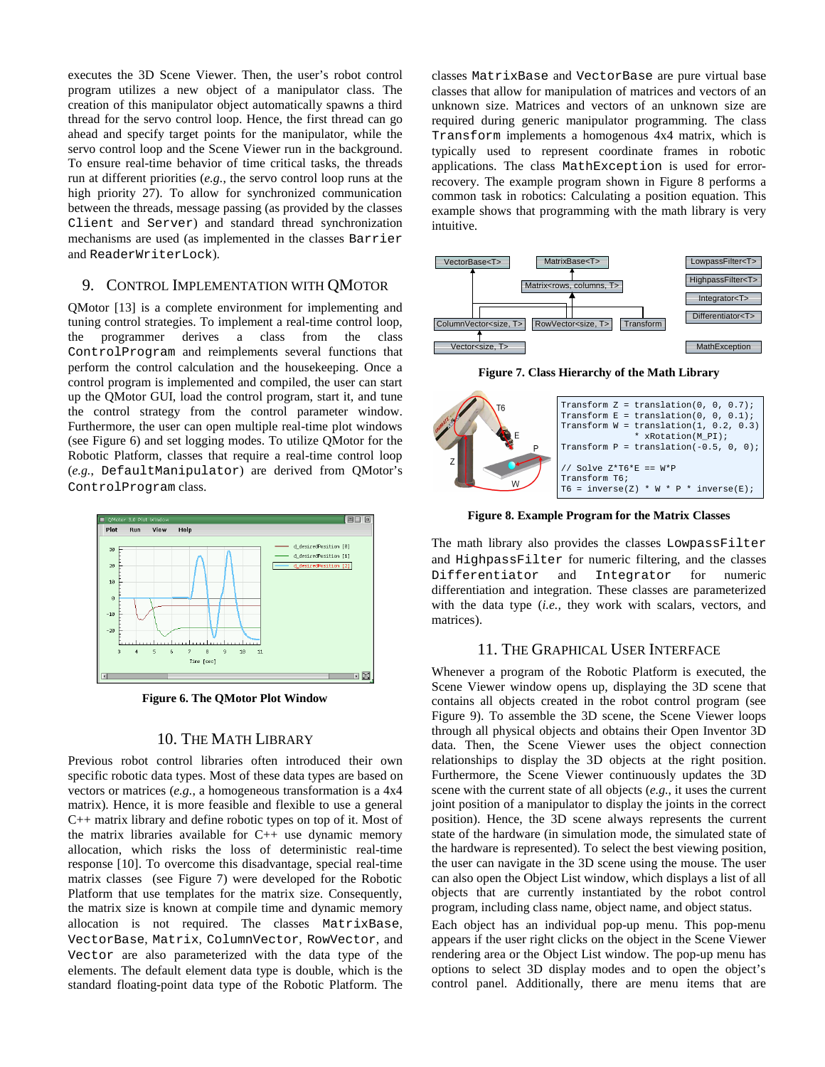executes the 3D Scene Viewer. Then, the user's robot control program utilizes a new object of a manipulator class. The creation of this manipulator object automatically spawns a third thread for the servo control loop. Hence, the first thread can go ahead and specify target points for the manipulator, while the servo control loop and the Scene Viewer run in the background. To ensure real-time behavior of time critical tasks, the threads run at different priorities (*e.g.*, the servo control loop runs at the high priority 27). To allow for synchronized communication between the threads, message passing (as provided by the classes Client and Server) and standard thread synchronization mechanisms are used (as implemented in the classes Barrier and ReaderWriterLock).

# 9. CONTROL IMPLEMENTATION WITH QMOTOR

QMotor [13] is a complete environment for implementing and tuning control strategies. To implement a real-time control loop, the programmer derives a class from the class ControlProgram and reimplements several functions that perform the control calculation and the housekeeping. Once a control program is implemented and compiled, the user can start up the QMotor GUI, load the control program, start it, and tune the control strategy from the control parameter window. Furthermore, the user can open multiple real-time plot windows (see Figure 6) and set logging modes. To utilize QMotor for the Robotic Platform, classes that require a real-time control loop (*e.g.*, DefaultManipulator) are derived from QMotor's ControlProgram class.



**Figure 6. The QMotor Plot Window** 

### 10. THE MATH LIBRARY

Previous robot control libraries often introduced their own specific robotic data types. Most of these data types are based on vectors or matrices (*e.g.*, a homogeneous transformation is a 4x4 matrix). Hence, it is more feasible and flexible to use a general C++ matrix library and define robotic types on top of it. Most of the matrix libraries available for  $C_{++}$  use dynamic memory allocation, which risks the loss of deterministic real-time response [10]. To overcome this disadvantage, special real-time matrix classes (see Figure 7) were developed for the Robotic Platform that use templates for the matrix size. Consequently, the matrix size is known at compile time and dynamic memory allocation is not required. The classes MatrixBase, VectorBase, Matrix, ColumnVector, RowVector, and Vector are also parameterized with the data type of the elements. The default element data type is double, which is the standard floating-point data type of the Robotic Platform. The

classes MatrixBase and VectorBase are pure virtual base classes that allow for manipulation of matrices and vectors of an unknown size. Matrices and vectors of an unknown size are required during generic manipulator programming. The class Transform implements a homogenous 4x4 matrix, which is typically used to represent coordinate frames in robotic applications. The class MathException is used for errorrecovery. The example program shown in Figure 8 performs a common task in robotics: Calculating a position equation. This example shows that programming with the math library is very intuitive.



**Figure 7. Class Hierarchy of the Math Library** 



**Figure 8. Example Program for the Matrix Classes** 

The math library also provides the classes LowpassFilter and HighpassFilter for numeric filtering, and the classes Differentiator and Integrator for numeric differentiation and integration. These classes are parameterized with the data type (*i.e.,* they work with scalars, vectors, and matrices).

#### 11. THE GRAPHICAL USER INTERFACE

Whenever a program of the Robotic Platform is executed, the Scene Viewer window opens up, displaying the 3D scene that contains all objects created in the robot control program (see Figure 9). To assemble the 3D scene, the Scene Viewer loops through all physical objects and obtains their Open Inventor 3D data. Then, the Scene Viewer uses the object connection relationships to display the 3D objects at the right position. Furthermore, the Scene Viewer continuously updates the 3D scene with the current state of all objects (*e.g.*, it uses the current joint position of a manipulator to display the joints in the correct position). Hence, the 3D scene always represents the current state of the hardware (in simulation mode, the simulated state of the hardware is represented). To select the best viewing position, the user can navigate in the 3D scene using the mouse. The user can also open the Object List window, which displays a list of all objects that are currently instantiated by the robot control program, including class name, object name, and object status.

Each object has an individual pop-up menu. This pop-menu appears if the user right clicks on the object in the Scene Viewer rendering area or the Object List window. The pop-up menu has options to select 3D display modes and to open the object's control panel. Additionally, there are menu items that are